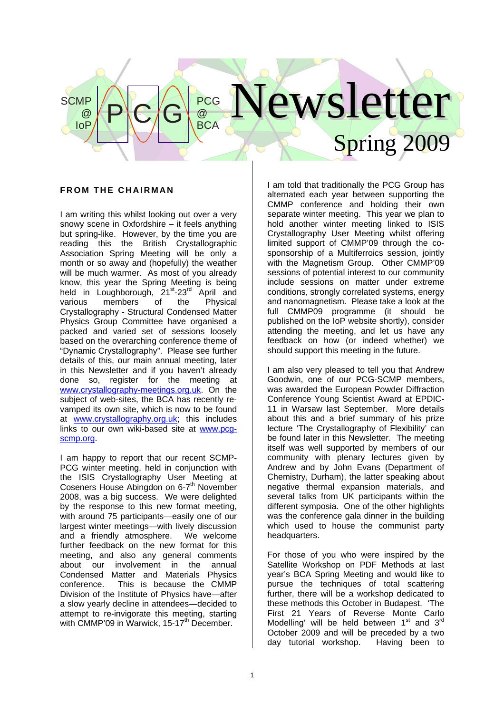# lewsletter Spring 2009  $P|C|G|_{BCA}^{\text{PCG}}$  $\omega$ **BCA**

## **FROM THE CHAIRMAN**

**SCMP** 

@ IoP

I am writing this whilst looking out over a very snowy scene in Oxfordshire – it feels anything but spring-like. However, by the time you are reading this the British Crystallographic Association Spring Meeting will be only a month or so away and (hopefully) the weather will be much warmer. As most of you already know, this year the Spring Meeting is being held in Loughborough, 21<sup>st</sup>-23<sup>rd</sup> April and various members of the Physical Crystallography - Structural Condensed Matter Physics Group Committee have organised a packed and varied set of sessions loosely based on the overarching conference theme of "Dynamic Crystallography". Please see further details of this, our main annual meeting, later in this Newsletter and if you haven't already done so, register for the meeting at www.crystallography-meetings.org.uk. On the subject of web-sites, the BCA has recently revamped its own site, which is now to be found at www.crystallography.org.uk; this includes links to our own wiki-based site at www.pcgscmp.org.

I am happy to report that our recent SCMP-PCG winter meeting, held in conjunction with the ISIS Crystallography User Meeting at Coseners House Abingdon on 6-7<sup>th</sup> November 2008, was a big success. We were delighted by the response to this new format meeting, with around 75 participants—easily one of our largest winter meetings—with lively discussion and a friendly atmosphere. We welcome further feedback on the new format for this meeting, and also any general comments about our involvement in the annual Condensed Matter and Materials Physics conference. This is because the CMMP Division of the Institute of Physics have—after a slow yearly decline in attendees—decided to attempt to re-invigorate this meeting, starting with CMMP'09 in Warwick, 15-17<sup>th</sup> December.

I am told that traditionally the PCG Group has alternated each year between supporting the CMMP conference and holding their own separate winter meeting. This year we plan to hold another winter meeting linked to ISIS Crystallography User Meeting whilst offering limited support of CMMP'09 through the cosponsorship of a Multiferroics session, jointly with the Magnetism Group. Other CMMP'09 sessions of potential interest to our community include sessions on matter under extreme conditions, strongly correlated systems, energy and nanomagnetism. Please take a look at the full CMMP09 programme (it should be published on the IoP website shortly), consider attending the meeting, and let us have any feedback on how (or indeed whether) we should support this meeting in the future.

I am also very pleased to tell you that Andrew Goodwin, one of our PCG-SCMP members, was awarded the European Powder Diffraction Conference Young Scientist Award at EPDIC-11 in Warsaw last September. More details about this and a brief summary of his prize lecture 'The Crystallography of Flexibility' can be found later in this Newsletter. The meeting itself was well supported by members of our community with plenary lectures given by Andrew and by John Evans (Department of Chemistry, Durham), the latter speaking about negative thermal expansion materials, and several talks from UK participants within the different symposia. One of the other highlights was the conference gala dinner in the building which used to house the communist party headquarters.

For those of you who were inspired by the Satellite Workshop on PDF Methods at last year's BCA Spring Meeting and would like to pursue the techniques of total scattering further, there will be a workshop dedicated to these methods this October in Budapest. 'The First 21 Years of Reverse Monte Carlo Modelling' will be held between  $1<sup>st</sup>$  and  $3<sup>rd</sup>$ October 2009 and will be preceded by a two day tutorial workshop. Having been to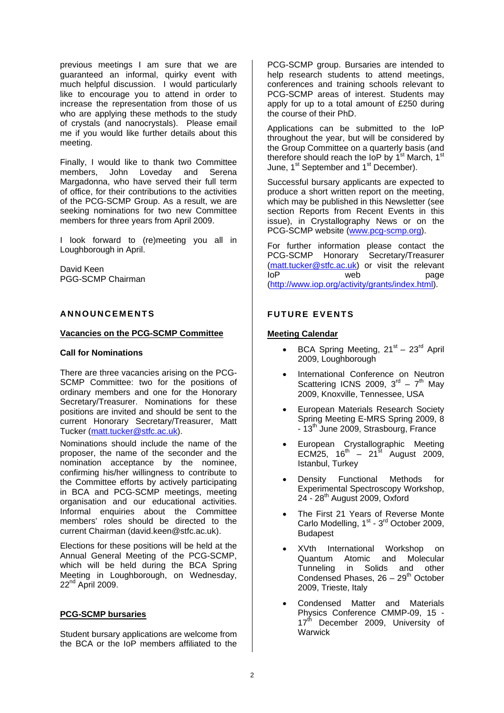previous meetings I am sure that we are guaranteed an informal, quirky event with much helpful discussion. I would particularly like to encourage you to attend in order to increase the representation from those of us who are applying these methods to the study of crystals (and nanocrystals). Please email me if you would like further details about this meeting.

Finally, I would like to thank two Committee members, John Loveday and Serena Margadonna, who have served their full term of office, for their contributions to the activities of the PCG-SCMP Group. As a result, we are seeking nominations for two new Committee members for three years from April 2009.

I look forward to (re)meeting you all in Loughborough in April.

David Keen PGG-SCMP Chairman

## **ANNOUNCEMENTS**

#### **Vacancies on the PCG-SCMP Committee**

#### **Call for Nominations**

There are three vacancies arising on the PCG-SCMP Committee: two for the positions of ordinary members and one for the Honorary Secretary/Treasurer. Nominations for these positions are invited and should be sent to the current Honorary Secretary/Treasurer, Matt Tucker (matt.tucker@stfc.ac.uk).

Nominations should include the name of the proposer, the name of the seconder and the nomination acceptance by the nominee, confirming his/her willingness to contribute to the Committee efforts by actively participating in BCA and PCG-SCMP meetings, meeting organisation and our educational activities. Informal enquiries about the Committee members' roles should be directed to the current Chairman (david.keen@stfc.ac.uk).

Elections for these positions will be held at the Annual General Meeting of the PCG-SCMP, which will be held during the BCA Spring Meeting in Loughborough, on Wednesday,  $22<sup>nd</sup>$  April 2009.

## **PCG-SCMP bursaries**

Student bursary applications are welcome from the BCA or the IoP members affiliated to the PCG-SCMP group. Bursaries are intended to help research students to attend meetings, conferences and training schools relevant to PCG-SCMP areas of interest. Students may apply for up to a total amount of £250 during the course of their PhD.

Applications can be submitted to the IoP throughout the year, but will be considered by the Group Committee on a quarterly basis (and therefore should reach the IoP by  $1^{st}$  March,  $1^{st}$ June, 1<sup>st</sup> September and 1<sup>st</sup> December).

Successful bursary applicants are expected to produce a short written report on the meeting, which may be published in this Newsletter (see section Reports from Recent Events in this issue), in Crystallography News or on the PCG-SCMP website (www.pcg-scmp.org).

For further information please contact the PCG-SCMP Honorary Secretary/Treasurer (matt.tucker@stfc.ac.uk) or visit the relevant IoP web page (http://www.iop.org/activity/grants/index.html).

## **FUTURE EVENTS**

## **Meeting Calendar**

- BCA Spring Meeting,  $21^{st} 23^{rd}$  April 2009, Loughborough
- International Conference on Neutron Scattering ICNS 2009,  $3<sup>rd</sup> - 7<sup>th</sup>$  May 2009, Knoxville, Tennessee, USA
- European Materials Research Society Spring Meeting E-MRS Spring 2009, 8  $-13<sup>th</sup>$  June 2009, Strasbourg, France
- European Crystallographic Meeting ECM25,  $16^{th} - 21^{st}$  August 2009, Istanbul, Turkey
- Density Functional Methods for Experimental Spectroscopy Workshop,  $24 - 28$ <sup>th</sup> August 2009, Oxford
- The First 21 Years of Reverse Monte Carlo Modelling,  $1<sup>st</sup> - 3<sup>rd</sup>$  October 2009, Budapest
- XVth International Workshop on Quantum Atomic and Molecular Tunneling in Solids and other Condensed Phases,  $26 - 29<sup>th</sup>$  October 2009, Trieste, Italy
- Condensed Matter and Materials Physics Conference CMMP-09, 15 - 17<sup>th</sup> December 2009, University of **Warwick**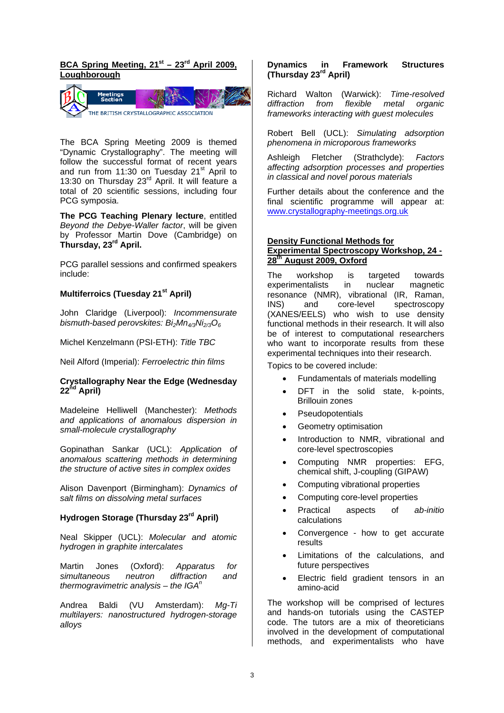## BCA Spring Meeting, 21<sup>st</sup> – 23<sup>rd</sup> April 2009. **Loughborough**



The BCA Spring Meeting 2009 is themed "Dynamic Crystallography". The meeting will follow the successful format of recent years and run from 11:30 on Tuesday 21<sup>st</sup> April to 13:30 on Thursday 23<sup>rd</sup> April. It will feature a total of 20 scientific sessions, including four PCG symposia.

**The PCG Teaching Plenary lecture**, entitled *Beyond the Debye-Waller factor*, will be given by Professor Martin Dove (Cambridge) on **Thursday, 23rd April.** 

PCG parallel sessions and confirmed speakers include:

## **Multiferroics (Tuesday 21st April)**

John Claridge (Liverpool): *Incommensurate*  bismuth-based perovskites: Bi<sub>2</sub>Mn<sub>4/3</sub>Ni<sub>2/3</sub>O<sub>6</sub>

Michel Kenzelmann (PSI-ETH): *Title TBC*

Neil Alford (Imperial): *Ferroelectric thin films*

#### **Crystallography Near the Edge (Wednesday 22nd April)**

Madeleine Helliwell (Manchester): *Methods and applications of anomalous dispersion in small-molecule crystallography* 

Gopinathan Sankar (UCL): *Application of anomalous scattering methods in determining the structure of active sites in complex oxides*

Alison Davenport (Birmingham): *Dynamics of salt films on dissolving metal surfaces*

# **Hydrogen Storage (Thursday 23rd April)**

Neal Skipper (UCL): *Molecular and atomic hydrogen in graphite intercalates*

Martin Jones (Oxford): *Apparatus for simultaneous neutron diffraction and thermogravimetric analysis – the IGAn*

Andrea Baldi (VU Amsterdam): *Mg-Ti multilayers: nanostructured hydrogen-storage alloys* 

#### **Dynamics in Framework Structures (Thursday 23rd April)**

Richard Walton (Warwick): *Time-resolved diffraction from flexible metal organic frameworks interacting with guest molecules*

Robert Bell (UCL): *Simulating adsorption phenomena in microporous frameworks*

Ashleigh Fletcher (Strathclyde): *Factors affecting adsorption processes and properties in classical and novel porous materials* 

Further details about the conference and the final scientific programme will appear at: www.crystallography-meetings.org.uk

#### **Density Functional Methods for Experimental Spectroscopy Workshop, 24 - 28th August 2009, Oxford**

The workshop is targeted towards experimentalists in nuclear magnetic resonance (NMR), vibrational (IR, Raman, INS) and core-level spectroscopy (XANES/EELS) who wish to use density functional methods in their research. It will also be of interest to computational researchers who want to incorporate results from these experimental techniques into their research.

Topics to be covered include:

- Fundamentals of materials modelling
- DFT in the solid state, k-points, Brillouin zones
- **Pseudopotentials**
- Geometry optimisation
- Introduction to NMR, vibrational and core-level spectroscopies
- Computing NMR properties: EFG, chemical shift, J-coupling (GIPAW)
- Computing vibrational properties
- Computing core-level properties
- Practical aspects of *ab-initio* calculations
- Convergence how to get accurate results
- Limitations of the calculations, and future perspectives
- Electric field gradient tensors in an amino-acid

The workshop will be comprised of lectures and hands-on tutorials using the CASTEP code. The tutors are a mix of theoreticians involved in the development of computational methods, and experimentalists who have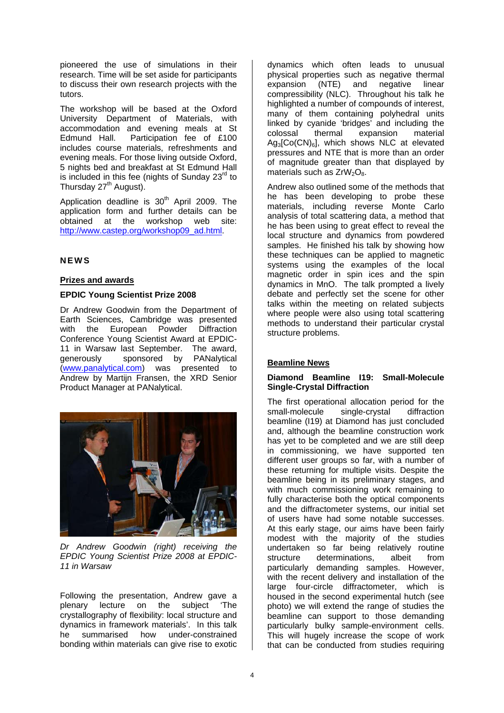pioneered the use of simulations in their research. Time will be set aside for participants to discuss their own research projects with the tutors.

The workshop will be based at the Oxford University Department of Materials, with accommodation and evening meals at St Edmund Hall. Participation fee of £100 includes course materials, refreshments and evening meals. For those living outside Oxford, 5 nights bed and breakfast at St Edmund Hall is included in this fee (nights of Sunday  $23<sup>rd</sup>$  to Thursday  $27<sup>th</sup>$  August).

Application deadline is  $30<sup>th</sup>$  April 2009. The application form and further details can be obtained at the workshop web site: http://www.castep.org/workshop09\_ad.html.

## **NEWS**

## **Prizes and awards**

## **EPDIC Young Scientist Prize 2008**

Dr Andrew Goodwin from the Department of Earth Sciences, Cambridge was presented with the European Powder Diffraction Conference Young Scientist Award at EPDIC-11 in Warsaw last September. The award, generously sponsored by PANalytical (www.panalytical.com) was presented to Andrew by Martijn Fransen, the XRD Senior Product Manager at PANalytical.



*Dr Andrew Goodwin (right) receiving the EPDIC Young Scientist Prize 2008 at EPDIC-11 in Warsaw* 

Following the presentation, Andrew gave a plenary lecture on the subject 'The crystallography of flexibility: local structure and dynamics in framework materials'. In this talk he summarised how under-constrained bonding within materials can give rise to exotic

dynamics which often leads to unusual physical properties such as negative thermal expansion (NTE) and negative linear compressibility (NLC). Throughout his talk he highlighted a number of compounds of interest, many of them containing polyhedral units linked by cyanide 'bridges' and including the colossal thermal expansion material  $Ag<sub>3</sub>[Co(CN)<sub>6</sub>]$ , which shows NLC at elevated pressures and NTE that is more than an order of magnitude greater than that displayed by materials such as  $ZrW_2O_8$ .

Andrew also outlined some of the methods that he has been developing to probe these materials, including reverse Monte Carlo analysis of total scattering data, a method that he has been using to great effect to reveal the local structure and dynamics from powdered samples. He finished his talk by showing how these techniques can be applied to magnetic systems using the examples of the local magnetic order in spin ices and the spin dynamics in MnO. The talk prompted a lively debate and perfectly set the scene for other talks within the meeting on related subjects where people were also using total scattering methods to understand their particular crystal structure problems.

## **Beamline News**

#### **Diamond Beamline I19: Small-Molecule Single-Crystal Diffraction**

The first operational allocation period for the<br>small-molecule single-crystal diffraction small-molecule single-crystal diffraction beamline (I19) at Diamond has just concluded and, although the beamline construction work has yet to be completed and we are still deep in commissioning, we have supported ten different user groups so far, with a number of these returning for multiple visits. Despite the beamline being in its preliminary stages, and with much commissioning work remaining to fully characterise both the optical components and the diffractometer systems, our initial set of users have had some notable successes. At this early stage, our aims have been fairly modest with the majority of the studies undertaken so far being relatively routine structure determinations, albeit from particularly demanding samples. However, with the recent delivery and installation of the large four-circle diffractometer, which is housed in the second experimental hutch (see photo) we will extend the range of studies the beamline can support to those demanding particularly bulky sample-environment cells. This will hugely increase the scope of work that can be conducted from studies requiring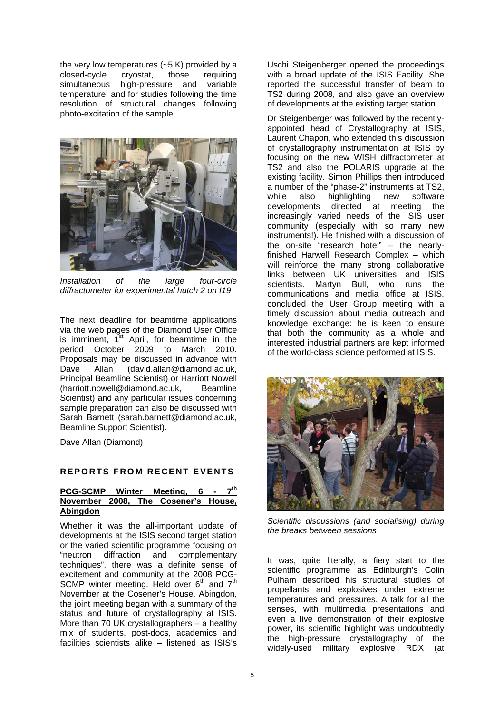the very low temperatures (~5 K) provided by a closed-cycle cryostat, those requiring simultaneous high-pressure and variable temperature, and for studies following the time resolution of structural changes following photo-excitation of the sample.



*Installation of the large four-circle diffractometer for experimental hutch 2 on I19* 

The next deadline for beamtime applications via the web pages of the Diamond User Office is imminent,  $1^{st}$  April, for beamtime in the period October 2009 to March 2010. Proposals may be discussed in advance with Dave Allan (david.allan@diamond.ac.uk, Principal Beamline Scientist) or Harriott Nowell (harriott.nowell@diamond.ac.uk, Beamline Scientist) and any particular issues concerning sample preparation can also be discussed with Sarah Barnett (sarah.barnett@diamond.ac.uk, Beamline Support Scientist).

Dave Allan (Diamond)

## **REPORTS FROM RECENT EVENTS**

#### **PCG-SCMP Winter Meeting, 6 November 2008, The Cosener's House, Abingdon**

Whether it was the all-important update of developments at the ISIS second target station or the varied scientific programme focusing on "neutron diffraction and complementary techniques", there was a definite sense of excitement and community at the 2008 PCG-SCMP winter meeting. Held over  $6<sup>th</sup>$  and  $7<sup>th</sup>$ November at the Cosener's House, Abingdon, the joint meeting began with a summary of the status and future of crystallography at ISIS. More than 70 UK crystallographers – a healthy mix of students, post-docs, academics and facilities scientists alike – listened as ISIS's

Uschi Steigenberger opened the proceedings with a broad update of the ISIS Facility. She reported the successful transfer of beam to TS2 during 2008, and also gave an overview of developments at the existing target station.

Dr Steigenberger was followed by the recentlyappointed head of Crystallography at ISIS, Laurent Chapon, who extended this discussion of crystallography instrumentation at ISIS by focusing on the new WISH diffractometer at TS2 and also the POLARIS upgrade at the existing facility. Simon Phillips then introduced a number of the "phase-2" instruments at TS2, while also highlighting new software developments directed at meeting the increasingly varied needs of the ISIS user community (especially with so many new instruments!). He finished with a discussion of the on-site "research hotel" – the nearlyfinished Harwell Research Complex – which will reinforce the many strong collaborative links between UK universities and ISIS scientists. Martyn Bull, who runs the communications and media office at ISIS, concluded the User Group meeting with a timely discussion about media outreach and knowledge exchange: he is keen to ensure that both the community as a whole and interested industrial partners are kept informed of the world-class science performed at ISIS.



*Scientific discussions (and socialising) during the breaks between sessions* 

It was, quite literally, a fiery start to the scientific programme as Edinburgh's Colin Pulham described his structural studies of propellants and explosives under extreme temperatures and pressures. A talk for all the senses, with multimedia presentations and even a live demonstration of their explosive power, its scientific highlight was undoubtedly the high-pressure crystallography of the widely-used military explosive RDX (at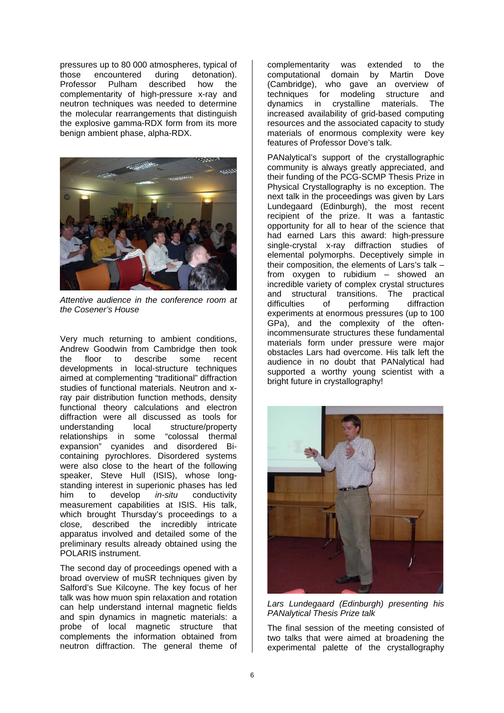pressures up to 80 000 atmospheres, typical of those encountered during detonation). Professor Pulham described how the complementarity of high-pressure x-ray and neutron techniques was needed to determine the molecular rearrangements that distinguish the explosive gamma-RDX form from its more benign ambient phase, alpha-RDX.



*Attentive audience in the conference room at the Cosener's House* 

Very much returning to ambient conditions, Andrew Goodwin from Cambridge then took the floor to describe some recent developments in local-structure techniques aimed at complementing "traditional" diffraction studies of functional materials. Neutron and xray pair distribution function methods, density functional theory calculations and electron diffraction were all discussed as tools for local structure/property<br>some "colossal thermal relationships in some expansion" cyanides and disordered Bicontaining pyrochlores. Disordered systems were also close to the heart of the following speaker, Steve Hull (ISIS), whose longstanding interest in superionic phases has led him to develop *in-situ* conductivity measurement capabilities at ISIS. His talk, which brought Thursday's proceedings to a close, described the incredibly intricate apparatus involved and detailed some of the preliminary results already obtained using the POLARIS instrument.

The second day of proceedings opened with a broad overview of muSR techniques given by Salford's Sue Kilcoyne. The key focus of her talk was how muon spin relaxation and rotation can help understand internal magnetic fields and spin dynamics in magnetic materials: a probe of local magnetic structure that complements the information obtained from neutron diffraction. The general theme of

complementarity was extended to the computational domain by Martin Dove (Cambridge), who gave an overview of techniques for modeling structure and dynamics in crystalline materials. The increased availability of grid-based computing resources and the associated capacity to study materials of enormous complexity were key features of Professor Dove's talk.

PANalytical's support of the crystallographic community is always greatly appreciated, and their funding of the PCG-SCMP Thesis Prize in Physical Crystallography is no exception. The next talk in the proceedings was given by Lars Lundegaard (Edinburgh), the most recent recipient of the prize. It was a fantastic opportunity for all to hear of the science that had earned Lars this award: high-pressure single-crystal x-ray diffraction studies of elemental polymorphs. Deceptively simple in their composition, the elements of Lars's talk – from oxygen to rubidium – showed an incredible variety of complex crystal structures and structural transitions. The practical<br>difficulties of performing diffraction difficulties of performing diffraction experiments at enormous pressures (up to 100 GPa), and the complexity of the oftenincommensurate structures these fundamental materials form under pressure were major obstacles Lars had overcome. His talk left the audience in no doubt that PANalytical had supported a worthy young scientist with a bright future in crystallography!



*Lars Lundegaard (Edinburgh) presenting his PANalytical Thesis Prize talk* 

The final session of the meeting consisted of two talks that were aimed at broadening the experimental palette of the crystallography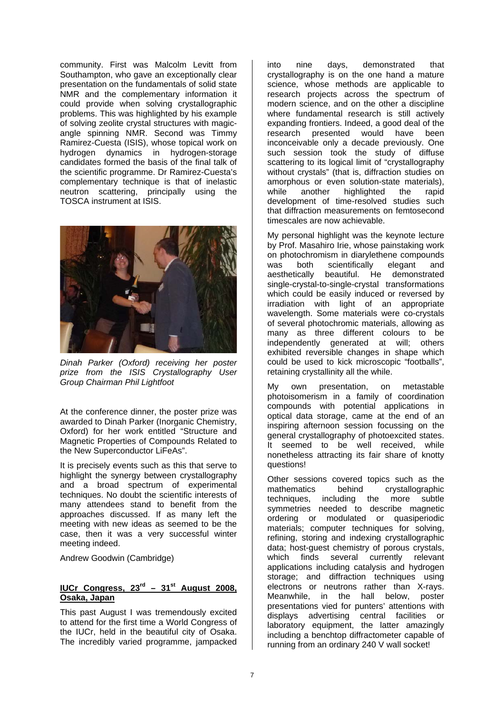community. First was Malcolm Levitt from Southampton, who gave an exceptionally clear presentation on the fundamentals of solid state NMR and the complementary information it could provide when solving crystallographic problems. This was highlighted by his example of solving zeolite crystal structures with magicangle spinning NMR. Second was Timmy Ramirez-Cuesta (ISIS), whose topical work on hydrogen dynamics in hydrogen-storage candidates formed the basis of the final talk of the scientific programme. Dr Ramirez-Cuesta's complementary technique is that of inelastic neutron scattering, principally using the TOSCA instrument at ISIS.



*Dinah Parker (Oxford) receiving her poster prize from the ISIS Crystallography User Group Chairman Phil Lightfoot* 

At the conference dinner, the poster prize was awarded to Dinah Parker (Inorganic Chemistry, Oxford) for her work entitled "Structure and Magnetic Properties of Compounds Related to the New Superconductor LiFeAs".

It is precisely events such as this that serve to highlight the synergy between crystallography and a broad spectrum of experimental techniques. No doubt the scientific interests of many attendees stand to benefit from the approaches discussed. If as many left the meeting with new ideas as seemed to be the case, then it was a very successful winter meeting indeed.

Andrew Goodwin (Cambridge)

## **IUCr Congress, 23<sup>rd</sup> – 31<sup>st</sup> August 2008. Osaka, Japan**

This past August I was tremendously excited to attend for the first time a World Congress of the IUCr, held in the beautiful city of Osaka. The incredibly varied programme, jampacked

into nine days, demonstrated that crystallography is on the one hand a mature science, whose methods are applicable to research projects across the spectrum of modern science, and on the other a discipline where fundamental research is still actively expanding frontiers. Indeed, a good deal of the research presented would have been inconceivable only a decade previously. One such session took the study of diffuse scattering to its logical limit of "crystallography without crystals" (that is, diffraction studies on amorphous or even solution-state materials), while another highlighted the rapid development of time-resolved studies such that diffraction measurements on femtosecond timescales are now achievable.

My personal highlight was the keynote lecture by Prof. Masahiro Irie, whose painstaking work on photochromism in diarylethene compounds was both scientifically elegant and aesthetically beautiful. He demonstrated single-crystal-to-single-crystal transformations which could be easily induced or reversed by irradiation with light of an appropriate wavelength. Some materials were co-crystals of several photochromic materials, allowing as many as three different colours to be independently generated at will; others exhibited reversible changes in shape which could be used to kick microscopic "footballs", retaining crystallinity all the while.

My own presentation, on metastable photoisomerism in a family of coordination compounds with potential applications in optical data storage, came at the end of an inspiring afternoon session focussing on the general crystallography of photoexcited states. It seemed to be well received, while nonetheless attracting its fair share of knotty questions!

Other sessions covered topics such as the mathematics behind crystallographic techniques, including the more subtle symmetries needed to describe magnetic ordering or modulated or quasiperiodic materials; computer techniques for solving, refining, storing and indexing crystallographic data; host-guest chemistry of porous crystals, which finds several currently relevant applications including catalysis and hydrogen storage; and diffraction techniques using electrons or neutrons rather than X-rays. Meanwhile, in the hall below, poster presentations vied for punters' attentions with displays advertising central facilities or laboratory equipment, the latter amazingly including a benchtop diffractometer capable of running from an ordinary 240 V wall socket!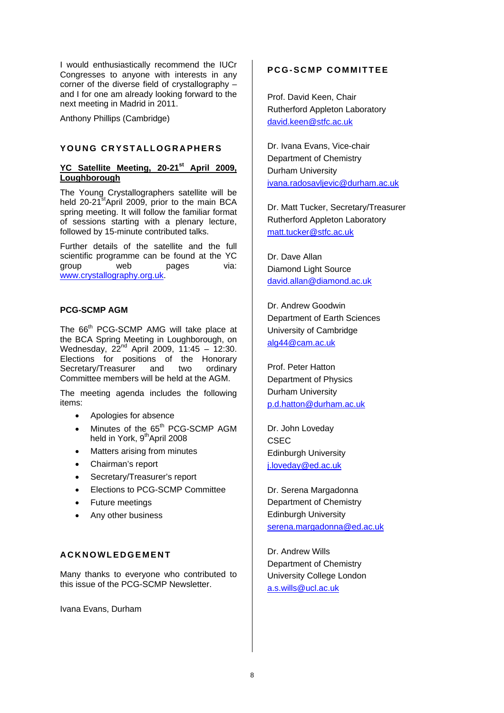I would enthusiastically recommend the IUCr Congresses to anyone with interests in any corner of the diverse field of crystallography – and I for one am already looking forward to the next meeting in Madrid in 2011.

Anthony Phillips (Cambridge)

#### **YOUNG CRYSTALLOGRAPHERS**

## **YC Satellite Meeting, 20-21st April 2009, Loughborough**

The Young Crystallographers satellite will be held 20-21<sup>st</sup>April 2009, prior to the main BCA spring meeting. It will follow the familiar format of sessions starting with a plenary lecture, followed by 15-minute contributed talks.

Further details of the satellite and the full scientific programme can be found at the YC group web pages via: www.crystallography.org.uk.

#### **PCG-SCMP AGM**

The 66<sup>th</sup> PCG-SCMP AMG will take place at the BCA Spring Meeting in Loughborough, on Wednesday,  $22<sup>nd</sup>$  April 2009, 11:45 – 12:30. Elections for positions of the Honorary Secretary/Treasurer and two ordinary Committee members will be held at the AGM.

The meeting agenda includes the following items:

- Apologies for absence
- Minutes of the 65<sup>th</sup> PCG-SCMP AGM held in York, 9<sup>th</sup>April 2008
- Matters arising from minutes
- Chairman's report
- Secretary/Treasurer's report
- Elections to PCG-SCMP Committee
- Future meetings
- Any other business

#### **ACKNOWLEDGEMENT**

Many thanks to everyone who contributed to this issue of the PCG-SCMP Newsletter.

Ivana Evans, Durham

## **PCG-SCMP COMMITTEE**

Prof. David Keen, Chair Rutherford Appleton Laboratory david.keen@stfc.ac.uk

Dr. Ivana Evans, Vice-chair Department of Chemistry Durham University ivana.radosavljevic@durham.ac.uk

Dr. Matt Tucker, Secretary/Treasurer Rutherford Appleton Laboratory matt.tucker@stfc.ac.uk

Dr. Dave Allan Diamond Light Source david.allan@diamond.ac.uk

Dr. Andrew Goodwin Department of Earth Sciences University of Cambridge alg44@cam.ac.uk

Prof. Peter Hatton Department of Physics Durham University p.d.hatton@durham.ac.uk

Dr. John Loveday CSEC Edinburgh University j.loveday@ed.ac.uk

Dr. Serena Margadonna Department of Chemistry Edinburgh University serena.margadonna@ed.ac.uk

Dr. Andrew Wills Department of Chemistry University College London a.s.wills@ucl.ac.uk